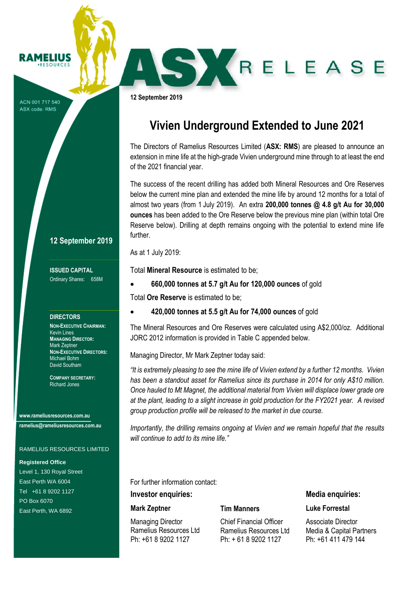**12 September 2019**

# **Vivien Underground Extended to June 2021**

SKRELEASE

The Directors of Ramelius Resources Limited (**ASX: RMS**) are pleased to announce an extension in mine life at the high-grade Vivien underground mine through to at least the end of the 2021 financial year.

The success of the recent drilling has added both Mineral Resources and Ore Reserves below the current mine plan and extended the mine life by around 12 months for a total of almost two years (from 1 July 2019). An extra **200,000 tonnes @ 4.8 g/t Au for 30,000 ounces** has been added to the Ore Reserve below the previous mine plan (within total Ore Reserve below). Drilling at depth remains ongoing with the potential to extend mine life further.

As at 1 July 2019:

Total **Mineral Resource** is estimated to be;

• **660,000 tonnes at 5.7 g/t Au for 120,000 ounces** of gold

Total **Ore Reserve** is estimated to be;

• **420,000 tonnes at 5.5 g/t Au for 74,000 ounces** of gold

The Mineral Resources and Ore Reserves were calculated using A\$2,000/oz. Additional JORC 2012 information is provided in Table C appended below.

Managing Director, Mr Mark Zeptner today said:

*"It is extremely pleasing to see the mine life of Vivien extend by a further 12 months. Vivien has been a standout asset for Ramelius since its purchase in 2014 for only A\$10 million. Once hauled to Mt Magnet, the additional material from Vivien will displace lower grade ore at the plant, leading to a slight increase in gold production for the FY2021 year. A revised group production profile will be released to the market in due course.*

*Importantly, the drilling remains ongoing at Vivien and we remain hopeful that the results will continue to add to its mine life."*

For further information contact:

#### **Investor enquiries:**

#### **Mark Zeptner**

Managing Director Ramelius Resources Ltd Ph: +61 8 9202 1127

#### **Tim Manners**

Chief Financial Officer Ramelius Resources Ltd Ph: + 61 8 9202 1127

**Media enquiries:**

#### **Luke Forrestal**

Associate Director Media & Capital Partners Ph: +61 411 479 144

#### **12 September 2019**

**ISSUED CAPITAL** Ordinary Shares: 658M

#### **DIRECTORS**

**PESOUPCES** 

ACN 001 717 540 ASX code: RMS

> **NON-EXECUTIVE CHAIRMAN:** Kevin Lines **MANAGING DIRECTOR:** Mark Zeptner **NON-EXECUTIVE DIRECTORS:** Michael Bohm David Southam

**COMPANY SECRETARY:** Richard Jones

**www.rameliusresources.com.au ramelius@rameliusresources.com.au**

#### RAMELIUS RESOURCES LIMITED

#### **Registered Office**

Level 1, 130 Royal Street East Perth WA 6004 Tel +61 8 9202 1127 PO Box 6070 East Perth, WA 6892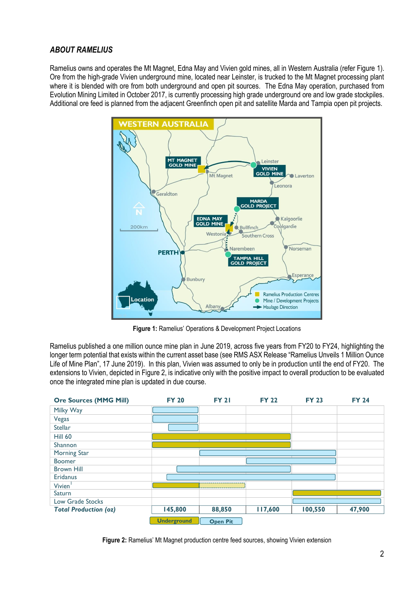### *ABOUT RAMELIUS*

Ramelius owns and operates the Mt Magnet, Edna May and Vivien gold mines, all in Western Australia (refer Figure 1). Ore from the high-grade Vivien underground mine, located near Leinster, is trucked to the Mt Magnet processing plant where it is blended with ore from both underground and open pit sources. The Edna May operation, purchased from Evolution Mining Limited in October 2017, is currently processing high grade underground ore and low grade stockpiles. Additional ore feed is planned from the adjacent Greenfinch open pit and satellite Marda and Tampia open pit projects.



**Figure 1:** Ramelius' Operations & Development Project Locations

Ramelius published a one million ounce mine plan in June 2019, across five years from FY20 to FY24, highlighting the longer term potential that exists within the current asset base (see RMS ASX Release "Ramelius Unveils 1 Million Ounce Life of Mine Plan", 17 June 2019). In this plan, Vivien was assumed to only be in production until the end of FY20. The extensions to Vivien, depicted in Figure 2, is indicative only with the positive impact to overall production to be evaluated once the integrated mine plan is updated in due course.



**Figure 2:** Ramelius' Mt Magnet production centre feed sources, showing Vivien extension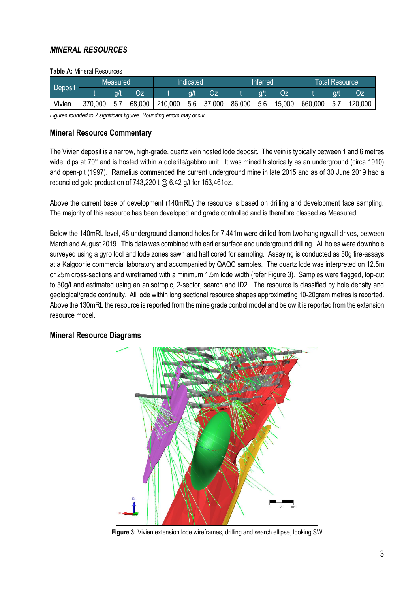### *MINERAL RESOURCES*

#### **Table A:** Mineral Resources

|         |         | Measured |        |         | Indicated |        |        | Inferred |        |         | <b>Total Resource</b> |         |
|---------|---------|----------|--------|---------|-----------|--------|--------|----------|--------|---------|-----------------------|---------|
| Deposit |         |          |        |         |           | Oz     |        |          |        |         |                       | OF.     |
| Vivien  | 370,000 | 5.7      | 68,000 | 210,000 | 5.6       | 37,000 | 86,000 | 5.6      | 15,000 | 660,000 | 5.7                   | 120,000 |

*Figures rounded to 2 significant figures. Rounding errors may occur.*

### **Mineral Resource Commentary**

The Vivien deposit is a narrow, high-grade, quartz vein hosted lode deposit. The vein is typically between 1 and 6 metres wide, dips at 70° and is hosted within a dolerite/gabbro unit. It was mined historically as an underground (circa 1910) and open-pit (1997). Ramelius commenced the current underground mine in late 2015 and as of 30 June 2019 had a reconciled gold production of 743,220 t @ 6.42 g/t for 153,461oz.

Above the current base of development (140mRL) the resource is based on drilling and development face sampling. The majority of this resource has been developed and grade controlled and is therefore classed as Measured.

Below the 140mRL level, 48 underground diamond holes for 7,441m were drilled from two hangingwall drives, between March and August 2019. This data was combined with earlier surface and underground drilling. All holes were downhole surveyed using a gyro tool and lode zones sawn and half cored for sampling. Assaying is conducted as 50g fire-assays at a Kalgoorlie commercial laboratory and accompanied by QAQC samples. The quartz lode was interpreted on 12.5m or 25m cross-sections and wireframed with a minimum 1.5m lode width (refer Figure 3). Samples were flagged, top-cut to 50g/t and estimated using an anisotropic, 2-sector, search and ID2. The resource is classified by hole density and geological/grade continuity. All lode within long sectional resource shapes approximating 10-20gram.metres is reported. Above the 130mRL the resource is reported from the mine grade control model and below it is reported from the extension resource model.

### **Mineral Resource Diagrams**



**Figure 3:** Vivien extension lode wireframes, drilling and search ellipse, looking SW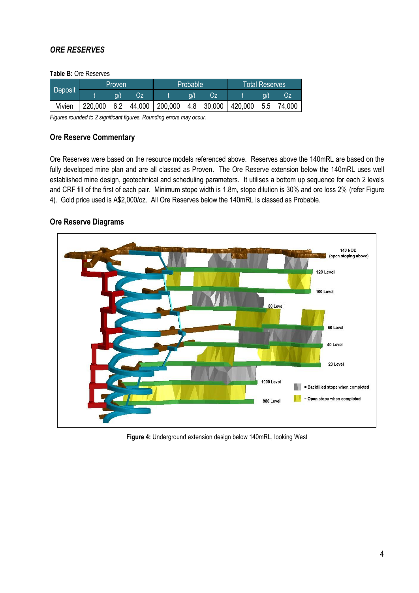### *ORE RESERVES*

#### **Table B:** Ore Reserves

|         |         | <b>Proven</b> |        |         | <b>Probable</b> |            |         | <b>Total Reserves</b> |        |
|---------|---------|---------------|--------|---------|-----------------|------------|---------|-----------------------|--------|
| Deposit |         | a/t           | Oz     |         |                 |            |         | <b>a/t</b>            |        |
| Vivien  | 220,000 | 6.2           | 44,000 | 200,000 |                 | 4.8 30,000 | 420,000 | 5.5                   | 74,000 |

*Figures rounded to 2 significant figures. Rounding errors may occur.*

### **Ore Reserve Commentary**

Ore Reserves were based on the resource models referenced above. Reserves above the 140mRL are based on the fully developed mine plan and are all classed as Proven. The Ore Reserve extension below the 140mRL uses well established mine design, geotechnical and scheduling parameters. It utilises a bottom up sequence for each 2 levels and CRF fill of the first of each pair. Minimum stope width is 1.8m, stope dilution is 30% and ore loss 2% (refer Figure 4). Gold price used is A\$2,000/oz. All Ore Reserves below the 140mRL is classed as Probable.

### **Ore Reserve Diagrams**



**Figure 4:** Underground extension design below 140mRL, looking West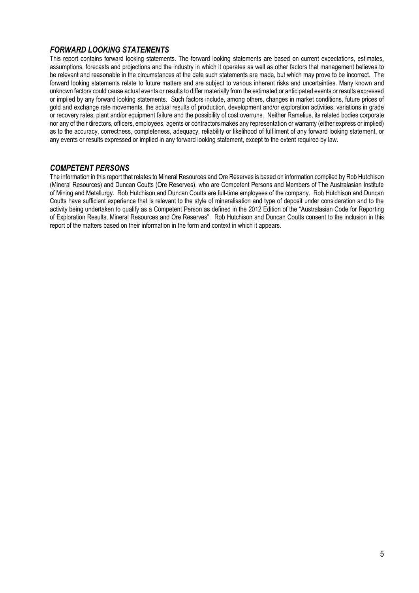### *FORWARD LOOKING STATEMENTS*

This report contains forward looking statements. The forward looking statements are based on current expectations, estimates, assumptions, forecasts and projections and the industry in which it operates as well as other factors that management believes to be relevant and reasonable in the circumstances at the date such statements are made, but which may prove to be incorrect. The forward looking statements relate to future matters and are subject to various inherent risks and uncertainties. Many known and unknown factors could cause actual events or results to differ materially from the estimated or anticipated events or results expressed or implied by any forward looking statements. Such factors include, among others, changes in market conditions, future prices of gold and exchange rate movements, the actual results of production, development and/or exploration activities, variations in grade or recovery rates, plant and/or equipment failure and the possibility of cost overruns. Neither Ramelius, its related bodies corporate nor any of their directors, officers, employees, agents or contractors makes any representation or warranty (either express or implied) as to the accuracy, correctness, completeness, adequacy, reliability or likelihood of fulfilment of any forward looking statement, or any events or results expressed or implied in any forward looking statement, except to the extent required by law.

#### *COMPETENT PERSONS*

The information in this report that relates to Mineral Resources and Ore Reserves is based on information compiled by Rob Hutchison (Mineral Resources) and Duncan Coutts (Ore Reserves), who are Competent Persons and Members of The Australasian Institute of Mining and Metallurgy. Rob Hutchison and Duncan Coutts are full-time employees of the company. Rob Hutchison and Duncan Coutts have sufficient experience that is relevant to the style of mineralisation and type of deposit under consideration and to the activity being undertaken to qualify as a Competent Person as defined in the 2012 Edition of the "Australasian Code for Reporting of Exploration Results, Mineral Resources and Ore Reserves". Rob Hutchison and Duncan Coutts consent to the inclusion in this report of the matters based on their information in the form and context in which it appears.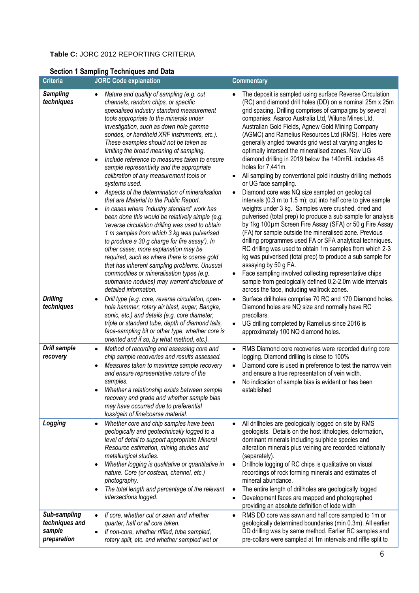#### **Table C:** JORC 2012 REPORTING CRITERIA

| <b>Criteria</b>                                                | <b>JORC Code explanation</b>                                                                                                                                                                                                                                                                                                                                                                                                                                                                                                                                                                                                                                                                                                                                                                                                                                                                                                                                                                                                                                                                                                                                                                                                                                                                                                                                                                                                                      | <b>Commentary</b>                                                                                                                                                                                                                                                                                                                                                                                                                                                                                                                                                                                                                                                                                                                                                                                                                                                                                                                                                                                                                                                                                                                                                                                                                                                                                                                                                                                                                                                                                                                                                                                                             |
|----------------------------------------------------------------|---------------------------------------------------------------------------------------------------------------------------------------------------------------------------------------------------------------------------------------------------------------------------------------------------------------------------------------------------------------------------------------------------------------------------------------------------------------------------------------------------------------------------------------------------------------------------------------------------------------------------------------------------------------------------------------------------------------------------------------------------------------------------------------------------------------------------------------------------------------------------------------------------------------------------------------------------------------------------------------------------------------------------------------------------------------------------------------------------------------------------------------------------------------------------------------------------------------------------------------------------------------------------------------------------------------------------------------------------------------------------------------------------------------------------------------------------|-------------------------------------------------------------------------------------------------------------------------------------------------------------------------------------------------------------------------------------------------------------------------------------------------------------------------------------------------------------------------------------------------------------------------------------------------------------------------------------------------------------------------------------------------------------------------------------------------------------------------------------------------------------------------------------------------------------------------------------------------------------------------------------------------------------------------------------------------------------------------------------------------------------------------------------------------------------------------------------------------------------------------------------------------------------------------------------------------------------------------------------------------------------------------------------------------------------------------------------------------------------------------------------------------------------------------------------------------------------------------------------------------------------------------------------------------------------------------------------------------------------------------------------------------------------------------------------------------------------------------------|
| <b>Sampling</b><br>techniques<br><b>Drilling</b><br>techniques | Nature and quality of sampling (e.g. cut<br>channels, random chips, or specific<br>specialised industry standard measurement<br>tools appropriate to the minerals under<br>investigation, such as down hole gamma<br>sondes, or handheld XRF instruments, etc.).<br>These examples should not be taken as<br>limiting the broad meaning of sampling.<br>Include reference to measures taken to ensure<br>$\bullet$<br>sample representivity and the appropriate<br>calibration of any measurement tools or<br>systems used.<br>Aspects of the determination of mineralisation<br>$\bullet$<br>that are Material to the Public Report.<br>In cases where 'industry standard' work has<br>$\bullet$<br>been done this would be relatively simple (e.g.<br>'reverse circulation drilling was used to obtain<br>1 m samples from which 3 kg was pulverised<br>to produce a 30 g charge for fire assay'). In<br>other cases, more explanation may be<br>required, such as where there is coarse gold<br>that has inherent sampling problems. Unusual<br>commodities or mineralisation types (e.g.<br>submarine nodules) may warrant disclosure of<br>detailed information.<br>Drill type (e.g. core, reverse circulation, open-<br>$\bullet$<br>hole hammer, rotary air blast, auger, Bangka,<br>sonic, etc.) and details (e.g. core diameter,<br>triple or standard tube, depth of diamond tails,<br>face-sampling bit or other type, whether core is | The deposit is sampled using surface Reverse Circulation<br>(RC) and diamond drill holes (DD) on a nominal 25m x 25m<br>grid spacing. Drilling comprises of campaigns by several<br>companies: Asarco Australia Ltd, Wiluna Mines Ltd,<br>Australian Gold Fields, Agnew Gold Mining Company<br>(AGMC) and Ramelius Resources Ltd (RMS). Holes were<br>generally angled towards grid west at varying angles to<br>optimally intersect the mineralised zones. New UG<br>diamond drilling in 2019 below the 140mRL includes 48<br>holes for 7,441m.<br>All sampling by conventional gold industry drilling methods<br>or UG face sampling.<br>Diamond core was NQ size sampled on geological<br>intervals (0.3 m to 1.5 m); cut into half core to give sample<br>weights under 3 kg. Samples were crushed, dried and<br>pulverised (total prep) to produce a sub sample for analysis<br>by 1kg 100um Screen Fire Assay (SFA) or 50 g Fire Assay<br>(FA) for sample outside the mineralised zone. Previous<br>drilling programmes used FA or SFA analytical techniques.<br>RC drilling was used to obtain 1m samples from which 2-3<br>kg was pulverised (total prep) to produce a sub sample for<br>assaying by 50 g FA.<br>Face sampling involved collecting representative chips<br>sample from geologically defined 0.2-2.0m wide intervals<br>across the face, including wallrock zones.<br>Surface drillholes comprise 70 RC and 170 Diamond holes.<br>$\bullet$<br>Diamond holes are NQ size and normally have RC<br>precollars.<br>UG drilling completed by Ramelius since 2016 is<br>approximately 100 NQ diamond holes. |
| <b>Drill sample</b><br>recovery                                | oriented and if so, by what method, etc.).<br>Method of recording and assessing core and<br>$\bullet$<br>chip sample recoveries and results assessed.<br>Measures taken to maximize sample recovery<br>and ensure representative nature of the<br>samples.<br>Whether a relationship exists between sample<br>recovery and grade and whether sample bias<br>may have occurred due to preferential<br>loss/gain of fine/coarse material.                                                                                                                                                                                                                                                                                                                                                                                                                                                                                                                                                                                                                                                                                                                                                                                                                                                                                                                                                                                                           | RMS Diamond core recoveries were recorded during core<br>$\bullet$<br>logging. Diamond drilling is close to 100%<br>Diamond core is used in preference to test the narrow vein<br>and ensure a true representation of vein width.<br>No indication of sample bias is evident or has been<br>established                                                                                                                                                                                                                                                                                                                                                                                                                                                                                                                                                                                                                                                                                                                                                                                                                                                                                                                                                                                                                                                                                                                                                                                                                                                                                                                       |
| Logging                                                        | Whether core and chip samples have been<br>$\bullet$<br>geologically and geotechnically logged to a<br>level of detail to support appropriate Mineral<br>Resource estimation, mining studies and<br>metallurgical studies.<br>Whether logging is qualitative or quantitative in<br>nature. Core (or costean, channel, etc.)<br>photography.<br>The total length and percentage of the relevant<br>intersections logged.                                                                                                                                                                                                                                                                                                                                                                                                                                                                                                                                                                                                                                                                                                                                                                                                                                                                                                                                                                                                                           | All drillholes are geologically logged on site by RMS<br>geologists. Details on the host lithologies, deformation,<br>dominant minerals including sulphide species and<br>alteration minerals plus veining are recorded relationally<br>(separately).<br>Drillhole logging of RC chips is qualitative on visual<br>recordings of rock forming minerals and estimates of<br>mineral abundance.<br>The entire length of drillholes are geologically logged<br>Development faces are mapped and photographed<br>providing an absolute definition of lode width                                                                                                                                                                                                                                                                                                                                                                                                                                                                                                                                                                                                                                                                                                                                                                                                                                                                                                                                                                                                                                                                   |
| Sub-sampling<br>techniques and<br>sample<br>preparation        | If core, whether cut or sawn and whether<br>$\bullet$<br>quarter, half or all core taken.<br>If non-core, whether riffled, tube sampled,<br>$\bullet$<br>rotary split, etc. and whether sampled wet or                                                                                                                                                                                                                                                                                                                                                                                                                                                                                                                                                                                                                                                                                                                                                                                                                                                                                                                                                                                                                                                                                                                                                                                                                                            | RMS DD core was sawn and half core sampled to 1m or<br>$\bullet$<br>geologically determined boundaries (min 0.3m). All earlier<br>DD drilling was by same method. Earlier RC samples and<br>pre-collars were sampled at 1m intervals and riffle split to                                                                                                                                                                                                                                                                                                                                                                                                                                                                                                                                                                                                                                                                                                                                                                                                                                                                                                                                                                                                                                                                                                                                                                                                                                                                                                                                                                      |

# **Section 1 Sampling Techniques and Data**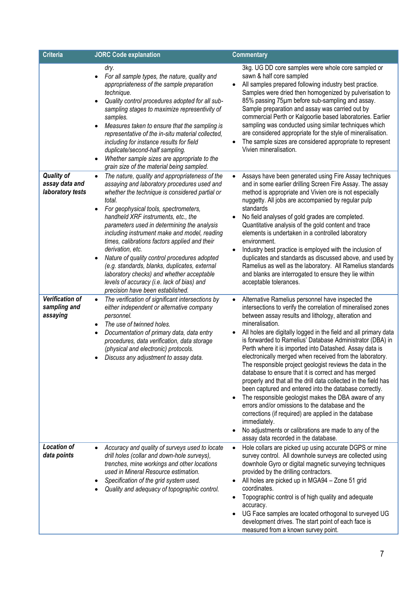| <b>Criteria</b>                                         | <b>JORC Code explanation</b>                                                                                                                                                                                                                                                                                                                                                                                                                                                                                                                                                                                                                                            | <b>Commentary</b>                                                                                                                                                                                                                                                                                                                                                                                                                                                                                                                                                                                                                                                                                                                                                                                                                                                                                                                                                                                       |
|---------------------------------------------------------|-------------------------------------------------------------------------------------------------------------------------------------------------------------------------------------------------------------------------------------------------------------------------------------------------------------------------------------------------------------------------------------------------------------------------------------------------------------------------------------------------------------------------------------------------------------------------------------------------------------------------------------------------------------------------|---------------------------------------------------------------------------------------------------------------------------------------------------------------------------------------------------------------------------------------------------------------------------------------------------------------------------------------------------------------------------------------------------------------------------------------------------------------------------------------------------------------------------------------------------------------------------------------------------------------------------------------------------------------------------------------------------------------------------------------------------------------------------------------------------------------------------------------------------------------------------------------------------------------------------------------------------------------------------------------------------------|
|                                                         | dry.<br>For all sample types, the nature, quality and<br>appropriateness of the sample preparation<br>technique.<br>Quality control procedures adopted for all sub-<br>sampling stages to maximize representivity of<br>samples.<br>Measures taken to ensure that the sampling is<br>representative of the in-situ material collected,<br>including for instance results for field<br>duplicate/second-half sampling.<br>Whether sample sizes are appropriate to the<br>grain size of the material being sampled.                                                                                                                                                       | 3kg. UG DD core samples were whole core sampled or<br>sawn & half core sampled<br>All samples prepared following industry best practice.<br>Samples were dried then homogenized by pulverisation to<br>85% passing 75µm before sub-sampling and assay.<br>Sample preparation and assay was carried out by<br>commercial Perth or Kalgoorlie based laboratories. Earlier<br>sampling was conducted using similar techniques which<br>are considered appropriate for the style of mineralisation.<br>The sample sizes are considered appropriate to represent<br>Vivien mineralisation.                                                                                                                                                                                                                                                                                                                                                                                                                   |
| <b>Quality of</b><br>assay data and<br>laboratory tests | The nature, quality and appropriateness of the<br>$\bullet$<br>assaying and laboratory procedures used and<br>whether the technique is considered partial or<br>total.<br>For geophysical tools, spectrometers,<br>$\bullet$<br>handheld XRF instruments, etc., the<br>parameters used in determining the analysis<br>including instrument make and model, reading<br>times, calibrations factors applied and their<br>derivation, etc.<br>Nature of quality control procedures adopted<br>(e.g. standards, blanks, duplicates, external<br>laboratory checks) and whether acceptable<br>levels of accuracy (i.e. lack of bias) and<br>precision have been established. | Assays have been generated using Fire Assay techniques<br>and in some earlier drilling Screen Fire Assay. The assay<br>method is appropriate and Vivien ore is not especially<br>nuggetty. All jobs are accompanied by regular pulp<br>standards<br>No field analyses of gold grades are completed.<br>Quantitative analysis of the gold content and trace<br>elements is undertaken in a controlled laboratory<br>environment.<br>Industry best practice is employed with the inclusion of<br>$\bullet$<br>duplicates and standards as discussed above, and used by<br>Ramelius as well as the laboratory. All Ramelius standards<br>and blanks are interrogated to ensure they lie within<br>acceptable tolerances.                                                                                                                                                                                                                                                                                   |
| Verification of<br>sampling and<br>assaying             | The verification of significant intersections by<br>$\bullet$<br>either independent or alternative company<br>personnel.<br>The use of twinned holes.<br>Documentation of primary data, data entry<br>procedures, data verification, data storage<br>(physical and electronic) protocols.<br>Discuss any adjustment to assay data.                                                                                                                                                                                                                                                                                                                                      | Alternative Ramelius personnel have inspected the<br>intersections to verify the correlation of mineralised zones<br>between assay results and lithology, alteration and<br>mineralisation.<br>All holes are digitally logged in the field and all primary data<br>is forwarded to Ramelius' Database Administrator (DBA) in<br>Perth where it is imported into Datashed. Assay data is<br>electronically merged when received from the laboratory.<br>The responsible project geologist reviews the data in the<br>database to ensure that it is correct and has merged<br>properly and that all the drill data collected in the field has<br>been captured and entered into the database correctly.<br>The responsible geologist makes the DBA aware of any<br>errors and/or omissions to the database and the<br>corrections (if required) are applied in the database<br>immediately.<br>No adjustments or calibrations are made to any of the<br>$\bullet$<br>assay data recorded in the database. |
| <b>Location of</b><br>data points                       | Accuracy and quality of surveys used to locate<br>drill holes (collar and down-hole surveys),<br>trenches, mine workings and other locations<br>used in Mineral Resource estimation.<br>Specification of the grid system used.<br>Quality and adequacy of topographic control.                                                                                                                                                                                                                                                                                                                                                                                          | Hole collars are picked up using accurate DGPS or mine<br>$\bullet$<br>survey control. All downhole surveys are collected using<br>downhole Gyro or digital magnetic surveying techniques<br>provided by the drilling contractors.<br>All holes are picked up in MGA94 - Zone 51 grid<br>coordinates.<br>Topographic control is of high quality and adequate<br>accuracy.<br>UG Face samples are located orthogonal to surveyed UG<br>development drives. The start point of each face is<br>measured from a known survey point.                                                                                                                                                                                                                                                                                                                                                                                                                                                                        |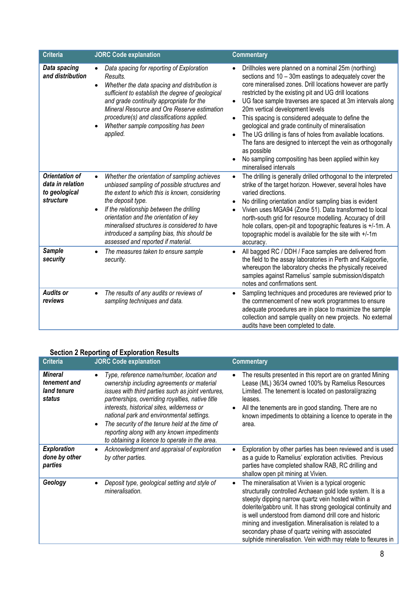| <b>Criteria</b>                                                         | <b>JORC Code explanation</b>                                                                                                                                                                                                                                                                                                                                                                                            | <b>Commentary</b>                                                                                                                                                                                                                                                                                                                                                                                                                                                                                                                                                                                                                                                                                                 |
|-------------------------------------------------------------------------|-------------------------------------------------------------------------------------------------------------------------------------------------------------------------------------------------------------------------------------------------------------------------------------------------------------------------------------------------------------------------------------------------------------------------|-------------------------------------------------------------------------------------------------------------------------------------------------------------------------------------------------------------------------------------------------------------------------------------------------------------------------------------------------------------------------------------------------------------------------------------------------------------------------------------------------------------------------------------------------------------------------------------------------------------------------------------------------------------------------------------------------------------------|
| Data spacing<br>and distribution                                        | Data spacing for reporting of Exploration<br>Results.<br>Whether the data spacing and distribution is<br>$\bullet$<br>sufficient to establish the degree of geological<br>and grade continuity appropriate for the<br>Mineral Resource and Ore Reserve estimation<br>procedure(s) and classifications applied.<br>Whether sample compositing has been<br>applied.                                                       | Drillholes were planned on a nominal 25m (northing)<br>sections and 10 - 30m eastings to adequately cover the<br>core mineralised zones. Drill locations however are partly<br>restricted by the existing pit and UG drill locations<br>UG face sample traverses are spaced at 3m intervals along<br>$\bullet$<br>20m vertical development levels<br>This spacing is considered adequate to define the<br>$\bullet$<br>geological and grade continuity of mineralisation<br>The UG drilling is fans of holes from available locations.<br>$\bullet$<br>The fans are designed to intercept the vein as orthogonally<br>as possible<br>No sampling compositing has been applied within key<br>mineralised intervals |
| <b>Orientation of</b><br>data in relation<br>to geological<br>structure | Whether the orientation of sampling achieves<br>$\bullet$<br>unbiased sampling of possible structures and<br>the extent to which this is known, considering<br>the deposit type.<br>If the relationship between the drilling<br>$\bullet$<br>orientation and the orientation of key<br>mineralised structures is considered to have<br>introduced a sampling bias, this should be<br>assessed and reported if material. | The drilling is generally drilled orthogonal to the interpreted<br>$\bullet$<br>strike of the target horizon. However, several holes have<br>varied directions.<br>No drilling orientation and/or sampling bias is evident<br>$\bullet$<br>Vivien uses MGA94 (Zone 51). Data transformed to local<br>north-south grid for resource modelling. Accuracy of drill<br>hole collars, open-pit and topographic features is +/-1m. A<br>topographic model is available for the site with +/-1m<br>accuracy.                                                                                                                                                                                                             |
| <b>Sample</b><br>security                                               | The measures taken to ensure sample<br>security.                                                                                                                                                                                                                                                                                                                                                                        | All bagged RC / DDH / Face samples are delivered from<br>$\bullet$<br>the field to the assay laboratories in Perth and Kalgoorlie,<br>whereupon the laboratory checks the physically received<br>samples against Ramelius' sample submission/dispatch<br>notes and confirmations sent.                                                                                                                                                                                                                                                                                                                                                                                                                            |
| <b>Audits or</b><br>reviews                                             | The results of any audits or reviews of<br>sampling techniques and data.                                                                                                                                                                                                                                                                                                                                                | Sampling techniques and procedures are reviewed prior to<br>$\bullet$<br>the commencement of new work programmes to ensure<br>adequate procedures are in place to maximize the sample<br>collection and sample quality on new projects. No external<br>audits have been completed to date.                                                                                                                                                                                                                                                                                                                                                                                                                        |

# **Section 2 Reporting of Exploration Results**

| <b>Criteria</b>                                         | <b>JORC Code explanation</b>                                                                                                                                                                                                                                                                                                                                                                                                                               | <b>Commentary</b>                                                                                                                                                                                                                                                                                                                                                                                                                                                                                 |
|---------------------------------------------------------|------------------------------------------------------------------------------------------------------------------------------------------------------------------------------------------------------------------------------------------------------------------------------------------------------------------------------------------------------------------------------------------------------------------------------------------------------------|---------------------------------------------------------------------------------------------------------------------------------------------------------------------------------------------------------------------------------------------------------------------------------------------------------------------------------------------------------------------------------------------------------------------------------------------------------------------------------------------------|
| <b>Mineral</b><br>tenement and<br>land tenure<br>status | Type, reference name/number, location and<br>ownership including agreements or material<br>issues with third parties such as joint ventures,<br>partnerships, overriding royalties, native title<br>interests, historical sites, wilderness or<br>national park and environmental settings.<br>The security of the tenure held at the time of<br>$\bullet$<br>reporting along with any known impediments<br>to obtaining a licence to operate in the area. | The results presented in this report are on granted Mining<br>Lease (ML) 36/34 owned 100% by Ramelius Resources<br>Limited. The tenement is located on pastoral/grazing<br>leases.<br>All the tenements are in good standing. There are no<br>$\bullet$<br>known impediments to obtaining a licence to operate in the<br>area.                                                                                                                                                                    |
| <b>Exploration</b><br>done by other<br>parties          | Acknowledgment and appraisal of exploration<br>by other parties.                                                                                                                                                                                                                                                                                                                                                                                           | Exploration by other parties has been reviewed and is used<br>$\bullet$<br>as a guide to Ramelius' exploration activities. Previous<br>parties have completed shallow RAB, RC drilling and<br>shallow open pit mining at Vivien.                                                                                                                                                                                                                                                                  |
| Geology                                                 | Deposit type, geological setting and style of<br>mineralisation.                                                                                                                                                                                                                                                                                                                                                                                           | The mineralisation at Vivien is a typical orogenic<br>$\bullet$<br>structurally controlled Archaean gold lode system. It is a<br>steeply dipping narrow quartz vein hosted within a<br>dolerite/gabbro unit. It has strong geological continuity and<br>is well understood from diamond drill core and historic<br>mining and investigation. Mineralisation is related to a<br>secondary phase of quartz veining with associated<br>sulphide mineralisation. Vein width may relate to flexures in |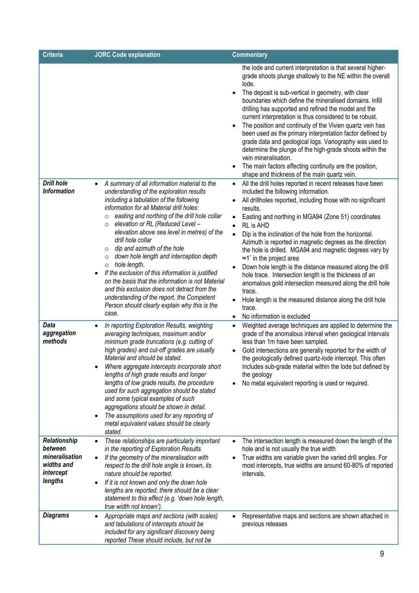| <b>Criteria</b>                                                                 | <b>JORC Code explanation</b>                                                                                                                                                                                                                                                                                                                                                                                                                                                                                                                                                                                                                                                                                                                           | <b>Commentary</b>                                                                                                                                                                                                                                                                                                                                                                                                                                                                                                                                                                                                                                                                                                                                                                                                     |
|---------------------------------------------------------------------------------|--------------------------------------------------------------------------------------------------------------------------------------------------------------------------------------------------------------------------------------------------------------------------------------------------------------------------------------------------------------------------------------------------------------------------------------------------------------------------------------------------------------------------------------------------------------------------------------------------------------------------------------------------------------------------------------------------------------------------------------------------------|-----------------------------------------------------------------------------------------------------------------------------------------------------------------------------------------------------------------------------------------------------------------------------------------------------------------------------------------------------------------------------------------------------------------------------------------------------------------------------------------------------------------------------------------------------------------------------------------------------------------------------------------------------------------------------------------------------------------------------------------------------------------------------------------------------------------------|
|                                                                                 |                                                                                                                                                                                                                                                                                                                                                                                                                                                                                                                                                                                                                                                                                                                                                        | the lode and current interpretation is that several higher-<br>grade shoots plunge shallowly to the NE within the overall<br>lode.<br>The deposit is sub-vertical in geometry, with clear<br>boundaries which define the mineralised domains. Infill<br>drilling has supported and refined the model and the<br>current interpretation is thus considered to be robust.<br>The position and continuity of the Vivien quartz vein has<br>been used as the primary interpretation factor defined by<br>grade data and geological logs. Variography was used to<br>determine the plunge of the high-grade shoots within the<br>vein mineralisation.<br>The main factors affecting continuity are the position,<br>shape and thickness of the main quartz vein.                                                           |
| <b>Drill hole</b><br><b>Information</b>                                         | A summary of all information material to the<br>understanding of the exploration results<br>including a tabulation of the following<br>information for all Material drill holes:<br>easting and northing of the drill hole collar<br>$\circ$<br>elevation or RL (Reduced Level -<br>$\circ$<br>elevation above sea level in metres) of the<br>drill hole collar<br>dip and azimuth of the hole<br>O<br>down hole length and interception depth<br>$\circ$<br>hole length.<br>$\circ$<br>If the exclusion of this information is justified<br>on the basis that the information is not Material<br>and this exclusion does not detract from the<br>understanding of the report, the Competent<br>Person should clearly explain why this is the<br>case. | All the drill holes reported in recent releases have been<br>$\bullet$<br>included the following information.<br>All drillholes reported, including those with no significant<br>results.<br>Easting and northing in MGA94 (Zone 51) coordinates<br>RL is AHD<br>$\bullet$<br>Dip is the inclination of the hole from the horizontal.<br>$\bullet$<br>Azimuth is reported in magnetic degrees as the direction<br>the hole is drilled. MGA94 and magnetic degrees vary by<br>$\approx$ 1° in the project area<br>Down hole length is the distance measured along the drill<br>hole trace. Intersection length is the thickness of an<br>anomalous gold intersection measured along the drill hole<br>trace.<br>Hole length is the measured distance along the drill hole<br>trace.<br>No information is excluded<br>٠ |
| Data<br>aggregation<br>methods                                                  | In reporting Exploration Results, weighting<br>averaging techniques, maximum and/or<br>minimum grade truncations (e.g. cutting of<br>high grades) and cut-off grades are usually<br>Material and should be stated.<br>Where aggregate intercepts incorporate short<br>lengths of high grade results and longer<br>lengths of low grade results, the procedure<br>used for such aggregation should be stated<br>and some typical examples of such<br>aggregations should be shown in detail.<br>The assumptions used for any reporting of<br>$\bullet$<br>metal equivalent values should be clearly<br>stated.                                                                                                                                          | Weighted average techniques are applied to determine the<br>$\bullet$<br>grade of the anomalous interval when geological intervals<br>less than 1m have been sampled.<br>Gold intersections are generally reported for the width of<br>the geologically defined quartz-lode intercept. This often<br>includes sub-grade material within the lode but defined by<br>the geology<br>No metal equivalent reporting is used or required.                                                                                                                                                                                                                                                                                                                                                                                  |
| Relationship<br>between<br>mineralisation<br>widths and<br>intercept<br>lengths | These relationships are particularly important<br>$\bullet$<br>in the reporting of Exploration Results.<br>If the geometry of the mineralisation with<br>$\bullet$<br>respect to the drill hole angle is known, its<br>nature should be reported.<br>If it is not known and only the down hole<br>$\bullet$<br>lengths are reported, there should be a clear<br>statement to this effect (e.g. 'down hole length,<br>true width not known').                                                                                                                                                                                                                                                                                                           | The intersection length is measured down the length of the<br>$\bullet$<br>hole and is not usually the true width<br>True widths are variable given the varied drill angles. For<br>most intercepts, true widths are around 60-80% of reported<br>intervals.                                                                                                                                                                                                                                                                                                                                                                                                                                                                                                                                                          |
| <b>Diagrams</b>                                                                 | Appropriate maps and sections (with scales)<br>$\bullet$<br>and tabulations of intercepts should be<br>included for any significant discovery being<br>reported These should include, but not be                                                                                                                                                                                                                                                                                                                                                                                                                                                                                                                                                       | Representative maps and sections are shown attached in<br>previous releases                                                                                                                                                                                                                                                                                                                                                                                                                                                                                                                                                                                                                                                                                                                                           |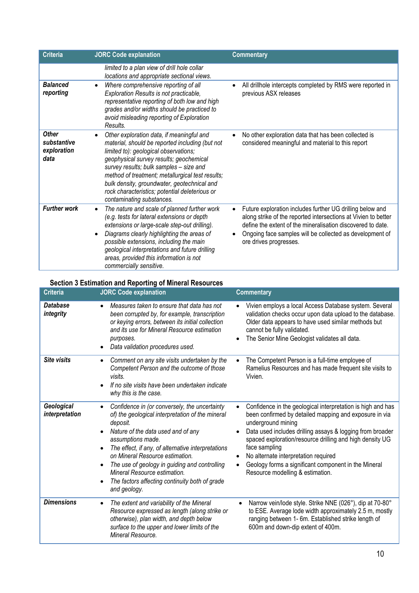| <b>Criteria</b>                                    | <b>JORC Code explanation</b>                                                                                                                                                                                                                                                                                                                                                                                  | <b>Commentary</b>                                                                                                                                                                                                                                                                                          |
|----------------------------------------------------|---------------------------------------------------------------------------------------------------------------------------------------------------------------------------------------------------------------------------------------------------------------------------------------------------------------------------------------------------------------------------------------------------------------|------------------------------------------------------------------------------------------------------------------------------------------------------------------------------------------------------------------------------------------------------------------------------------------------------------|
| <b>Balanced</b>                                    | limited to a plan view of drill hole collar<br>locations and appropriate sectional views.                                                                                                                                                                                                                                                                                                                     |                                                                                                                                                                                                                                                                                                            |
| reporting                                          | Where comprehensive reporting of all<br>Exploration Results is not practicable,<br>representative reporting of both low and high<br>grades and/or widths should be practiced to<br>avoid misleading reporting of Exploration<br>Results.                                                                                                                                                                      | All drillhole intercepts completed by RMS were reported in<br>$\bullet$<br>previous ASX releases                                                                                                                                                                                                           |
| <b>Other</b><br>substantive<br>exploration<br>data | Other exploration data, if meaningful and<br>material, should be reported including (but not<br>limited to): geological observations;<br>geophysical survey results; geochemical<br>survey results; bulk samples - size and<br>method of treatment; metallurgical test results;<br>bulk density, groundwater, geotechnical and<br>rock characteristics; potential deleterious or<br>contaminating substances. | No other exploration data that has been collected is<br>$\bullet$<br>considered meaningful and material to this report                                                                                                                                                                                     |
| <b>Further work</b>                                | The nature and scale of planned further work<br>(e.g. tests for lateral extensions or depth<br>extensions or large-scale step-out drilling).<br>Diagrams clearly highlighting the areas of<br>possible extensions, including the main<br>geological interpretations and future drilling<br>areas, provided this information is not<br>commercially sensitive.                                                 | Future exploration includes further UG drilling below and<br>$\bullet$<br>along strike of the reported intersections at Vivien to better<br>define the extent of the mineralisation discovered to date.<br>Ongoing face samples will be collected as development of<br>$\bullet$<br>ore drives progresses. |

### **Section 3 Estimation and Reporting of Mineral Resources**

| <b>Criteria</b>              | <b>JORC Code explanation</b>                                                                                                                                                                                                                                                                                                                                                                                         | <b>Commentary</b>                                                                                                                                                                                                                                                                                                                                                                                                                                   |
|------------------------------|----------------------------------------------------------------------------------------------------------------------------------------------------------------------------------------------------------------------------------------------------------------------------------------------------------------------------------------------------------------------------------------------------------------------|-----------------------------------------------------------------------------------------------------------------------------------------------------------------------------------------------------------------------------------------------------------------------------------------------------------------------------------------------------------------------------------------------------------------------------------------------------|
| Database<br>integrity        | Measures taken to ensure that data has not<br>been corrupted by, for example, transcription<br>or keying errors, between its initial collection<br>and its use for Mineral Resource estimation<br>purposes.<br>Data validation procedures used.<br>$\bullet$                                                                                                                                                         | Vivien employs a local Access Database system. Several<br>validation checks occur upon data upload to the database.<br>Older data appears to have used similar methods but<br>cannot be fully validated.<br>The Senior Mine Geologist validates all data.                                                                                                                                                                                           |
| <b>Site visits</b>           | Comment on any site visits undertaken by the<br>$\bullet$<br>Competent Person and the outcome of those<br>visits.<br>If no site visits have been undertaken indicate<br>why this is the case.                                                                                                                                                                                                                        | The Competent Person is a full-time employee of<br>$\bullet$<br>Ramelius Resources and has made frequent site visits to<br>Vivien.                                                                                                                                                                                                                                                                                                                  |
| Geological<br>interpretation | Confidence in (or conversely, the uncertainty<br>of) the geological interpretation of the mineral<br>deposit.<br>Nature of the data used and of any<br>assumptions made.<br>The effect, if any, of alternative interpretations<br>on Mineral Resource estimation.<br>The use of geology in guiding and controlling<br>Mineral Resource estimation.<br>The factors affecting continuity both of grade<br>and geology. | Confidence in the geological interpretation is high and has<br>$\bullet$<br>been confirmed by detailed mapping and exposure in via<br>underground mining<br>Data used includes drilling assays & logging from broader<br>spaced exploration/resource drilling and high density UG<br>face sampling<br>No alternate interpretation required<br>Geology forms a significant component in the Mineral<br>$\bullet$<br>Resource modelling & estimation. |
| <b>Dimensions</b>            | The extent and variability of the Mineral<br>$\bullet$<br>Resource expressed as length (along strike or<br>otherwise), plan width, and depth below<br>surface to the upper and lower limits of the<br>Mineral Resource.                                                                                                                                                                                              | Narrow vein/lode style. Strike NNE (026°), dip at 70-80°<br>to ESE. Average lode width approximately 2.5 m, mostly<br>ranging between 1- 6m. Established strike length of<br>600m and down-dip extent of 400m.                                                                                                                                                                                                                                      |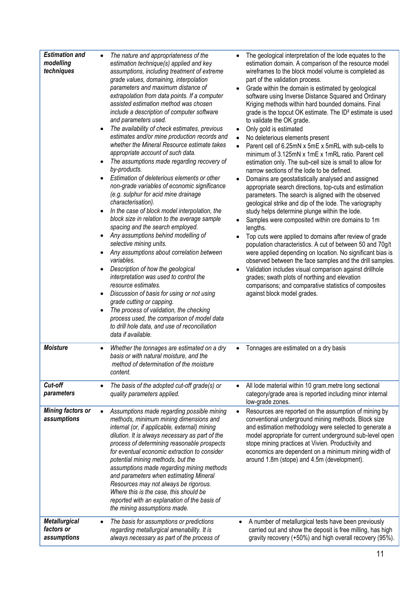| <b>Estimation and</b><br>modelling<br>techniques  | The nature and appropriateness of the<br>estimation technique(s) applied and key<br>assumptions, including treatment of extreme<br>grade values, domaining, interpolation<br>parameters and maximum distance of<br>extrapolation from data points. If a computer<br>assisted estimation method was chosen<br>include a description of computer software<br>and parameters used.<br>The availability of check estimates, previous<br>estimates and/or mine production records and<br>whether the Mineral Resource estimate takes<br>appropriate account of such data.<br>The assumptions made regarding recovery of<br>by-products.<br>Estimation of deleterious elements or other<br>non-grade variables of economic significance<br>(e.g. sulphur for acid mine drainage<br>characterisation).<br>In the case of block model interpolation, the<br>block size in relation to the average sample<br>spacing and the search employed.<br>Any assumptions behind modelling of<br>selective mining units.<br>Any assumptions about correlation between<br>variables.<br>Description of how the geological<br>interpretation was used to control the<br>resource estimates.<br>Discussion of basis for using or not using<br>grade cutting or capping.<br>The process of validation, the checking<br>$\bullet$<br>process used, the comparison of model data<br>to drill hole data, and use of reconciliation<br>data if available. | The geological interpretation of the lode equates to the<br>estimation domain. A comparison of the resource model<br>wireframes to the block model volume is completed as<br>part of the validation process.<br>Grade within the domain is estimated by geological<br>software using Inverse Distance Squared and Ordinary<br>Kriging methods within hard bounded domains. Final<br>grade is the topcut OK estimate. The ID <sup>2</sup> estimate is used<br>to validate the OK grade.<br>Only gold is estimated<br>$\bullet$<br>No deleterious elements present<br>Parent cell of 6.25mN x 5mE x 5mRL with sub-cells to<br>minimum of 3.125mN x 1mE x 1mRL ratio. Parent cell<br>estimation only. The sub-cell size is small to allow for<br>narrow sections of the lode to be defined.<br>Domains are geostatistically analysed and assigned<br>appropriate search directions, top-cuts and estimation<br>parameters. The search is aligned with the observed<br>geological strike and dip of the lode. The variography<br>study helps determine plunge within the lode.<br>Samples were composited within ore domains to 1m<br>lengths.<br>Top cuts were applied to domains after review of grade<br>population characteristics. A cut of between 50 and 70g/t<br>were applied depending on location. No significant bias is<br>observed between the face samples and the drill samples.<br>Validation includes visual comparison against drillhole<br>grades; swath plots of northing and elevation<br>comparisons; and comparative statistics of composites<br>against block model grades. |
|---------------------------------------------------|---------------------------------------------------------------------------------------------------------------------------------------------------------------------------------------------------------------------------------------------------------------------------------------------------------------------------------------------------------------------------------------------------------------------------------------------------------------------------------------------------------------------------------------------------------------------------------------------------------------------------------------------------------------------------------------------------------------------------------------------------------------------------------------------------------------------------------------------------------------------------------------------------------------------------------------------------------------------------------------------------------------------------------------------------------------------------------------------------------------------------------------------------------------------------------------------------------------------------------------------------------------------------------------------------------------------------------------------------------------------------------------------------------------------------------|-------------------------------------------------------------------------------------------------------------------------------------------------------------------------------------------------------------------------------------------------------------------------------------------------------------------------------------------------------------------------------------------------------------------------------------------------------------------------------------------------------------------------------------------------------------------------------------------------------------------------------------------------------------------------------------------------------------------------------------------------------------------------------------------------------------------------------------------------------------------------------------------------------------------------------------------------------------------------------------------------------------------------------------------------------------------------------------------------------------------------------------------------------------------------------------------------------------------------------------------------------------------------------------------------------------------------------------------------------------------------------------------------------------------------------------------------------------------------------------------------------------------------------------------------------------------------------------------------|
| <b>Moisture</b>                                   | Whether the tonnages are estimated on a dry<br>$\bullet$<br>basis or with natural moisture, and the<br>method of determination of the moisture<br>content.                                                                                                                                                                                                                                                                                                                                                                                                                                                                                                                                                                                                                                                                                                                                                                                                                                                                                                                                                                                                                                                                                                                                                                                                                                                                      | Tonnages are estimated on a dry basis<br>٠                                                                                                                                                                                                                                                                                                                                                                                                                                                                                                                                                                                                                                                                                                                                                                                                                                                                                                                                                                                                                                                                                                                                                                                                                                                                                                                                                                                                                                                                                                                                                      |
| Cut-off<br>parameters                             | The basis of the adopted cut-off grade(s) or<br>quality parameters applied.                                                                                                                                                                                                                                                                                                                                                                                                                                                                                                                                                                                                                                                                                                                                                                                                                                                                                                                                                                                                                                                                                                                                                                                                                                                                                                                                                     | All lode material within 10 gram.metre long sectional<br>$\bullet$<br>category/grade area is reported including minor internal<br>low-grade zones.                                                                                                                                                                                                                                                                                                                                                                                                                                                                                                                                                                                                                                                                                                                                                                                                                                                                                                                                                                                                                                                                                                                                                                                                                                                                                                                                                                                                                                              |
| <b>Mining factors or</b><br>assumptions           | Assumptions made regarding possible mining<br>methods, minimum mining dimensions and<br>internal (or, if applicable, external) mining<br>dilution. It is always necessary as part of the<br>process of determining reasonable prospects<br>for eventual economic extraction to consider<br>potential mining methods, but the<br>assumptions made regarding mining methods<br>and parameters when estimating Mineral<br>Resources may not always be rigorous.<br>Where this is the case, this should be<br>reported with an explanation of the basis of<br>the mining assumptions made.                                                                                                                                                                                                                                                                                                                                                                                                                                                                                                                                                                                                                                                                                                                                                                                                                                          | Resources are reported on the assumption of mining by<br>$\bullet$<br>conventional underground mining methods. Block size<br>and estimation methodology were selected to generate a<br>model appropriate for current underground sub-level open<br>stope mining practices at Vivien. Productivity and<br>economics are dependent on a minimum mining width of<br>around 1.8m (stope) and 4.5m (development).                                                                                                                                                                                                                                                                                                                                                                                                                                                                                                                                                                                                                                                                                                                                                                                                                                                                                                                                                                                                                                                                                                                                                                                    |
| <b>Metallurgical</b><br>factors or<br>assumptions | The basis for assumptions or predictions<br>regarding metallurgical amenability. It is<br>always necessary as part of the process of                                                                                                                                                                                                                                                                                                                                                                                                                                                                                                                                                                                                                                                                                                                                                                                                                                                                                                                                                                                                                                                                                                                                                                                                                                                                                            | A number of metallurgical tests have been previously<br>carried out and show the deposit is free milling, has high<br>gravity recovery (+50%) and high overall recovery (95%).                                                                                                                                                                                                                                                                                                                                                                                                                                                                                                                                                                                                                                                                                                                                                                                                                                                                                                                                                                                                                                                                                                                                                                                                                                                                                                                                                                                                                  |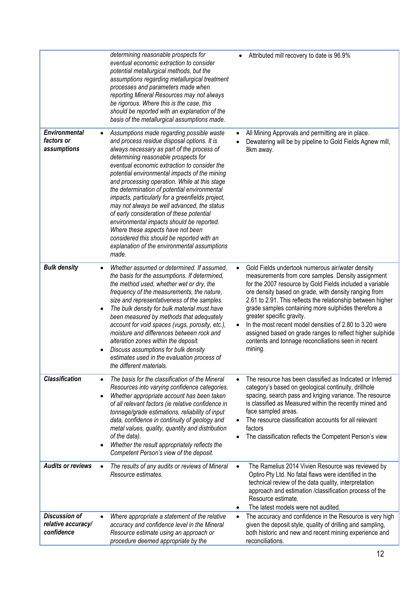|                                                          | determining reasonable prospects for<br>eventual economic extraction to consider<br>potential metallurgical methods, but the<br>assumptions regarding metallurgical treatment<br>processes and parameters made when<br>reporting Mineral Resources may not always<br>be rigorous. Where this is the case, this<br>should be reported with an explanation of the<br>basis of the metallurgical assumptions made.                                                                                                                                                                                                                                                                                                           | Attributed mill recovery to date is 96.9%                                                                                                                                                                                                                                                                                                                                                                                                                                                                                                                                             |
|----------------------------------------------------------|---------------------------------------------------------------------------------------------------------------------------------------------------------------------------------------------------------------------------------------------------------------------------------------------------------------------------------------------------------------------------------------------------------------------------------------------------------------------------------------------------------------------------------------------------------------------------------------------------------------------------------------------------------------------------------------------------------------------------|---------------------------------------------------------------------------------------------------------------------------------------------------------------------------------------------------------------------------------------------------------------------------------------------------------------------------------------------------------------------------------------------------------------------------------------------------------------------------------------------------------------------------------------------------------------------------------------|
| <b>Environmental</b><br>factors or<br>assumptions        | Assumptions made regarding possible waste<br>and process residue disposal options. It is<br>always necessary as part of the process of<br>determining reasonable prospects for<br>eventual economic extraction to consider the<br>potential environmental impacts of the mining<br>and processing operation. While at this stage<br>the determination of potential environmental<br>impacts, particularly for a greenfields project,<br>may not always be well advanced, the status<br>of early consideration of these potential<br>environmental impacts should be reported.<br>Where these aspects have not been<br>considered this should be reported with an<br>explanation of the environmental assumptions<br>made. | All Mining Approvals and permitting are in place.<br>Dewatering will be by pipeline to Gold Fields Agnew mill,<br>8km away.                                                                                                                                                                                                                                                                                                                                                                                                                                                           |
| <b>Bulk density</b>                                      | Whether assumed or determined. If assumed,<br>the basis for the assumptions. If determined,<br>the method used, whether wet or dry, the<br>frequency of the measurements, the nature,<br>size and representativeness of the samples.<br>The bulk density for bulk material must have<br>$\bullet$<br>been measured by methods that adequately<br>account for void spaces (vugs, porosity, etc.),<br>moisture and differences between rock and<br>alteration zones within the deposit.<br>Discuss assumptions for bulk density<br>estimates used in the evaluation process of<br>the different materials.                                                                                                                  | Gold Fields undertook numerous air/water density<br>$\bullet$<br>measurements from core samples. Density assignment<br>for the 2007 resource by Gold Fields included a variable<br>ore density based on grade, with density ranging from<br>2.61 to 2.91. This reflects the relationship between higher<br>grade samples containing more sulphides therefore a<br>greater specific gravity.<br>In the most recent model densities of 2.80 to 3.20 were<br>assigned based on grade ranges to reflect higher sulphide<br>contents and tonnage reconciliations seen in recent<br>mining. |
| <b>Classification</b>                                    | The basis for the classification of the Mineral<br>$\bullet$<br>Resources into varying confidence categories.<br>Whether appropriate account has been taken<br>$\bullet$<br>of all relevant factors (ie relative confidence in<br>tonnage/grade estimations, reliability of input<br>data, confidence in continuity of geology and<br>metal values, quality, quantity and distribution<br>of the data).<br>Whether the result appropriately reflects the<br>Competent Person's view of the deposit.                                                                                                                                                                                                                       | The resource has been classified as Indicated or Inferred<br>category's based on geological continuity, drillhole<br>spacing, search pass and kriging variance. The resource<br>is classified as Measured within the recently mined and<br>face sampled areas.<br>The resource classification accounts for all relevant<br>factors<br>The classification reflects the Competent Person's view                                                                                                                                                                                         |
| <b>Audits or reviews</b>                                 | The results of any audits or reviews of Mineral<br>Resource estimates.                                                                                                                                                                                                                                                                                                                                                                                                                                                                                                                                                                                                                                                    | The Ramelius 2014 Vivien Resource was reviewed by<br>$\bullet$<br>Optiro Pty Ltd. No fatal flaws were identified in the<br>technical review of the data quality, interpretation<br>approach and estimation /classification process of the<br>Resource estimate.<br>The latest models were not audited.<br>$\bullet$                                                                                                                                                                                                                                                                   |
| <b>Discussion of</b><br>relative accuracy/<br>confidence | Where appropriate a statement of the relative<br>$\bullet$<br>accuracy and confidence level in the Mineral<br>Resource estimate using an approach or<br>procedure deemed appropriate by the                                                                                                                                                                                                                                                                                                                                                                                                                                                                                                                               | The accuracy and confidence in the Resource is very high<br>$\bullet$<br>given the deposit style, quality of drilling and sampling,<br>both historic and new and recent mining experience and<br>reconciliations.                                                                                                                                                                                                                                                                                                                                                                     |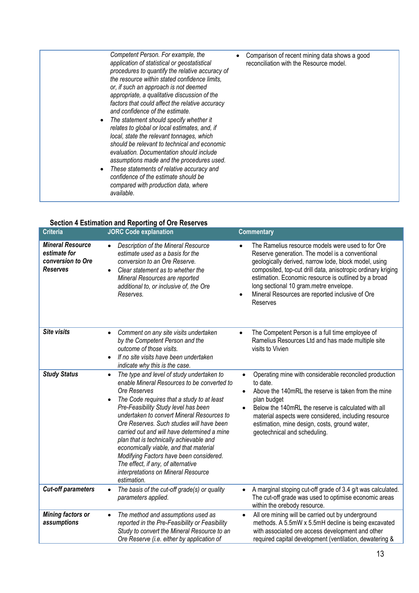| Competent Person. For example, the<br>application of statistical or geostatistical<br>procedures to quantify the relative accuracy of<br>the resource within stated confidence limits.<br>or, if such an approach is not deemed<br>appropriate, a qualitative discussion of the<br>factors that could affect the relative accuracy<br>and confidence of the estimate.<br>The statement should specify whether it<br>relates to global or local estimates, and, if<br>local, state the relevant tonnages, which<br>should be relevant to technical and economic<br>evaluation. Documentation should include<br>assumptions made and the procedures used.<br>These statements of relative accuracy and<br>confidence of the estimate should be<br>compared with production data, where<br>available. | Comparison of recent mining data shows a good<br>reconciliation with the Resource model. |
|----------------------------------------------------------------------------------------------------------------------------------------------------------------------------------------------------------------------------------------------------------------------------------------------------------------------------------------------------------------------------------------------------------------------------------------------------------------------------------------------------------------------------------------------------------------------------------------------------------------------------------------------------------------------------------------------------------------------------------------------------------------------------------------------------|------------------------------------------------------------------------------------------|

### **Section 4 Estimation and Reporting of Ore Reserves**

| <b>Criteria</b>                                                          | OCCION 4 LSUINGUON AND REPORTING OF ORE RESERVES<br><b>JORC</b> Code explanation                                                                                                                                                                                                                                                                                                                                                                                                                                                                                                  | <b>Commentary</b>                                                                                                                                                                                                                                                                                                                                                                                                        |
|--------------------------------------------------------------------------|-----------------------------------------------------------------------------------------------------------------------------------------------------------------------------------------------------------------------------------------------------------------------------------------------------------------------------------------------------------------------------------------------------------------------------------------------------------------------------------------------------------------------------------------------------------------------------------|--------------------------------------------------------------------------------------------------------------------------------------------------------------------------------------------------------------------------------------------------------------------------------------------------------------------------------------------------------------------------------------------------------------------------|
| <b>Mineral Resource</b><br>estimate for<br>conversion to Ore<br>Reserves | Description of the Mineral Resource<br>$\bullet$<br>estimate used as a basis for the<br>conversion to an Ore Reserve.<br>Clear statement as to whether the<br>Mineral Resources are reported<br>additional to, or inclusive of, the Ore<br>Reserves.                                                                                                                                                                                                                                                                                                                              | The Ramelius resource models were used to for Ore<br>$\bullet$<br>Reserve generation. The model is a conventional<br>geologically derived, narrow lode, block model, using<br>composited, top-cut drill data, anisotropic ordinary kriging<br>estimation. Economic resource is outlined by a broad<br>long sectional 10 gram.metre envelope.<br>Mineral Resources are reported inclusive of Ore<br>$\bullet$<br>Reserves |
| <b>Site visits</b>                                                       | Comment on any site visits undertaken<br>$\bullet$<br>by the Competent Person and the<br>outcome of those visits.<br>If no site visits have been undertaken<br>indicate why this is the case.                                                                                                                                                                                                                                                                                                                                                                                     | The Competent Person is a full time employee of<br>$\bullet$<br>Ramelius Resources Ltd and has made multiple site<br>visits to Vivien                                                                                                                                                                                                                                                                                    |
| <b>Study Status</b>                                                      | The type and level of study undertaken to<br>$\bullet$<br>enable Mineral Resources to be converted to<br>Ore Reserves<br>The Code requires that a study to at least<br>Pre-Feasibility Study level has been<br>undertaken to convert Mineral Resources to<br>Ore Reserves. Such studies will have been<br>carried out and will have determined a mine<br>plan that is technically achievable and<br>economically viable, and that material<br>Modifying Factors have been considered.<br>The effect, if any, of alternative<br>interpretations on Mineral Resource<br>estimation. | Operating mine with considerable reconciled production<br>$\bullet$<br>to date.<br>Above the 140mRL the reserve is taken from the mine<br>plan budget<br>Below the 140mRL the reserve is calculated with all<br>$\bullet$<br>material aspects were considered, including resource<br>estimation, mine design, costs, ground water,<br>geotechnical and scheduling.                                                       |
| <b>Cut-off parameters</b>                                                | The basis of the cut-off grade(s) or quality<br>$\bullet$<br>parameters applied.                                                                                                                                                                                                                                                                                                                                                                                                                                                                                                  | A marginal stoping cut-off grade of 3.4 g/t was calculated.<br>$\bullet$<br>The cut-off grade was used to optimise economic areas<br>within the orebody resource.                                                                                                                                                                                                                                                        |
| Mining factors or<br>assumptions                                         | The method and assumptions used as<br>$\bullet$<br>reported in the Pre-Feasibility or Feasibility<br>Study to convert the Mineral Resource to an<br>Ore Reserve (i.e. either by application of                                                                                                                                                                                                                                                                                                                                                                                    | All ore mining will be carried out by underground<br>$\bullet$<br>methods. A 5.5mW x 5.5mH decline is being excavated<br>with associated ore access development and other<br>required capital development (ventilation, dewatering &                                                                                                                                                                                     |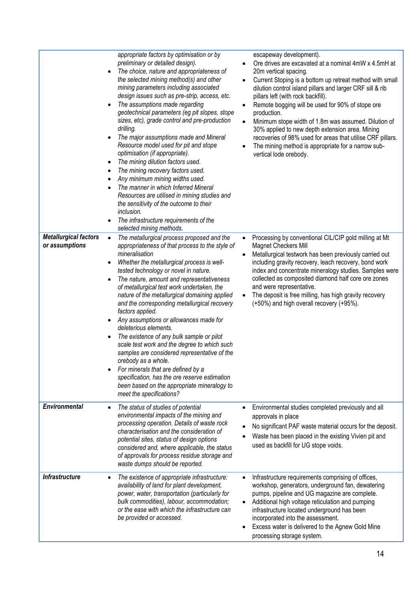|                                                | appropriate factors by optimisation or by<br>preliminary or detailed design).<br>The choice, nature and appropriateness of<br>the selected mining method(s) and other<br>mining parameters including associated<br>design issues such as pre-strip, access, etc.<br>The assumptions made regarding<br>$\bullet$<br>geotechnical parameters (eg pit slopes, stope<br>sizes, etc), grade control and pre-production<br>drilling.<br>The major assumptions made and Mineral<br>Resource model used for pit and stope<br>optimisation (if appropriate).<br>The mining dilution factors used.<br>$\bullet$<br>The mining recovery factors used.<br>Any minimum mining widths used.<br>The manner in which Inferred Mineral<br>Resources are utilised in mining studies and<br>the sensitivity of the outcome to their<br>inclusion.<br>The infrastructure requirements of the<br>selected mining methods. | escapeway development).<br>Ore drives are excavated at a nominal 4mW x 4.5mH at<br>20m vertical spacing.<br>Current Stoping is a bottom up retreat method with small<br>dilution control island pillars and larger CRF sill & rib<br>pillars left (with rock backfill).<br>Remote bogging will be used for 90% of stope ore<br>٠<br>production.<br>Minimum stope width of 1.8m was assumed. Dilution of<br>$\bullet$<br>30% applied to new depth extension area. Mining<br>recoveries of 98% used for areas that utilise CRF pillars.<br>The mining method is appropriate for a narrow sub-<br>vertical lode orebody. |
|------------------------------------------------|------------------------------------------------------------------------------------------------------------------------------------------------------------------------------------------------------------------------------------------------------------------------------------------------------------------------------------------------------------------------------------------------------------------------------------------------------------------------------------------------------------------------------------------------------------------------------------------------------------------------------------------------------------------------------------------------------------------------------------------------------------------------------------------------------------------------------------------------------------------------------------------------------|-----------------------------------------------------------------------------------------------------------------------------------------------------------------------------------------------------------------------------------------------------------------------------------------------------------------------------------------------------------------------------------------------------------------------------------------------------------------------------------------------------------------------------------------------------------------------------------------------------------------------|
| <b>Metallurgical factors</b><br>or assumptions | The metallurgical process proposed and the<br>$\bullet$<br>appropriateness of that process to the style of<br>mineralisation<br>Whether the metallurgical process is well-<br>٠<br>tested technology or novel in nature.<br>The nature, amount and representativeness<br>of metallurgical test work undertaken, the<br>nature of the metallurgical domaining applied<br>and the corresponding metallurgical recovery<br>factors applied.<br>Any assumptions or allowances made for<br>$\bullet$<br>deleterious elements.<br>The existence of any bulk sample or pilot<br>٠<br>scale test work and the degree to which such<br>samples are considered representative of the<br>orebody as a whole.<br>For minerals that are defined by a<br>specification, has the ore reserve estimation<br>been based on the appropriate mineralogy to<br>meet the specifications?                                  | Processing by conventional CIL/CIP gold milling at Mt<br>$\bullet$<br><b>Magnet Checkers Mill</b><br>Metallurgical testwork has been previously carried out<br>$\bullet$<br>including gravity recovery, leach recovery, bond work<br>index and concentrate mineralogy studies. Samples were<br>collected as composited diamond half core ore zones<br>and were representative.<br>The deposit is free milling, has high gravity recovery<br>(+50%) and high overall recovery (+95%).                                                                                                                                  |
| <b>Environmental</b>                           | The status of studies of potential<br>$\bullet$<br>environmental impacts of the mining and<br>processing operation. Details of waste rock<br>characterisation and the consideration of<br>potential sites, status of design options<br>considered and, where applicable, the status<br>of approvals for process residue storage and<br>waste dumps should be reported.                                                                                                                                                                                                                                                                                                                                                                                                                                                                                                                               | Environmental studies completed previously and all<br>approvals in place<br>No significant PAF waste material occurs for the deposit.<br>Waste has been placed in the existing Vivien pit and<br>used as backfill for UG stope voids.                                                                                                                                                                                                                                                                                                                                                                                 |
| <b>Infrastructure</b>                          | The existence of appropriate infrastructure:<br>$\bullet$<br>availability of land for plant development,<br>power, water, transportation (particularly for<br>bulk commodities), labour, accommodation;<br>or the ease with which the infrastructure can<br>be provided or accessed.                                                                                                                                                                                                                                                                                                                                                                                                                                                                                                                                                                                                                 | Infrastructure requirements comprising of offices,<br>$\bullet$<br>workshop, generators, underground fan, dewatering<br>pumps, pipeline and UG magazine are complete.<br>Additional high voltage reticulation and pumping<br>infrastructure located underground has been<br>incorporated into the assessment.<br>Excess water is delivered to the Agnew Gold Mine<br>processing storage system.                                                                                                                                                                                                                       |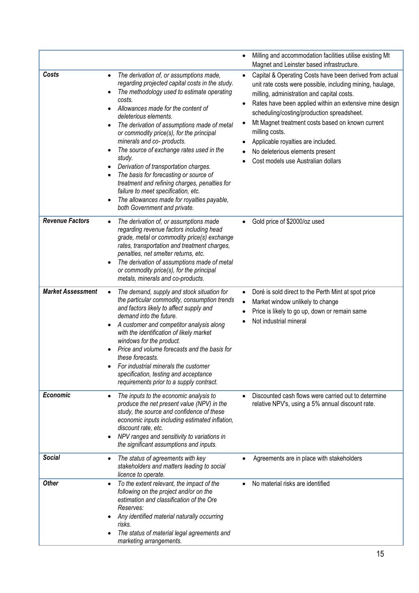|                          |                                                                                                                                                                                                                                                                                                                                                                                                                                                                                                                                                                                                                                                                        | Milling and accommodation facilities utilise existing Mt<br>Magnet and Leinster based infrastructure.                                                                                                                                                                                                                                                                                                                                                            |
|--------------------------|------------------------------------------------------------------------------------------------------------------------------------------------------------------------------------------------------------------------------------------------------------------------------------------------------------------------------------------------------------------------------------------------------------------------------------------------------------------------------------------------------------------------------------------------------------------------------------------------------------------------------------------------------------------------|------------------------------------------------------------------------------------------------------------------------------------------------------------------------------------------------------------------------------------------------------------------------------------------------------------------------------------------------------------------------------------------------------------------------------------------------------------------|
| Costs                    | The derivation of, or assumptions made,<br>$\bullet$<br>regarding projected capital costs in the study.<br>The methodology used to estimate operating<br>costs.<br>Allowances made for the content of<br>deleterious elements.<br>The derivation of assumptions made of metal<br>or commodity price(s), for the principal<br>minerals and co- products.<br>The source of exchange rates used in the<br>study.<br>Derivation of transportation charges.<br>The basis for forecasting or source of<br>treatment and refining charges, penalties for<br>failure to meet specification, etc.<br>The allowances made for royalties payable,<br>both Government and private. | Capital & Operating Costs have been derived from actual<br>unit rate costs were possible, including mining, haulage,<br>milling, administration and capital costs.<br>Rates have been applied within an extensive mine design<br>scheduling/costing/production spreadsheet.<br>Mt Magnet treatment costs based on known current<br>milling costs.<br>Applicable royalties are included.<br>No deleterious elements present<br>Cost models use Australian dollars |
| <b>Revenue Factors</b>   | The derivation of, or assumptions made<br>regarding revenue factors including head<br>grade, metal or commodity price(s) exchange<br>rates, transportation and treatment charges,<br>penalties, net smelter returns, etc.<br>The derivation of assumptions made of metal<br>or commodity price(s), for the principal<br>metals, minerals and co-products.                                                                                                                                                                                                                                                                                                              | Gold price of \$2000/oz used                                                                                                                                                                                                                                                                                                                                                                                                                                     |
| <b>Market Assessment</b> | The demand, supply and stock situation for<br>the particular commodity, consumption trends<br>and factors likely to affect supply and<br>demand into the future.<br>A customer and competitor analysis along<br>with the identification of likely market<br>windows for the product.<br>Price and volume forecasts and the basis for<br>these forecasts.<br>For industrial minerals the customer<br>specification, testing and acceptance<br>requirements prior to a supply contract.                                                                                                                                                                                  | Doré is sold direct to the Perth Mint at spot price<br>$\bullet$<br>Market window unlikely to change<br>Price is likely to go up, down or remain same<br>Not industrial mineral                                                                                                                                                                                                                                                                                  |
| <b>Economic</b>          | The inputs to the economic analysis to<br>$\bullet$<br>produce the net present value (NPV) in the<br>study, the source and confidence of these<br>economic inputs including estimated inflation,<br>discount rate, etc.<br>NPV ranges and sensitivity to variations in<br>the significant assumptions and inputs.                                                                                                                                                                                                                                                                                                                                                      | Discounted cash flows were carried out to determine<br>relative NPV's, using a 5% annual discount rate.                                                                                                                                                                                                                                                                                                                                                          |
| <b>Social</b>            | The status of agreements with key<br>stakeholders and matters leading to social<br>licence to operate.                                                                                                                                                                                                                                                                                                                                                                                                                                                                                                                                                                 | Agreements are in place with stakeholders                                                                                                                                                                                                                                                                                                                                                                                                                        |
| <b>Other</b>             | To the extent relevant, the impact of the<br>$\bullet$<br>following on the project and/or on the<br>estimation and classification of the Ore<br>Reserves:<br>Any identified material naturally occurring<br>risks.<br>The status of material legal agreements and<br>marketing arrangements.                                                                                                                                                                                                                                                                                                                                                                           | No material risks are identified                                                                                                                                                                                                                                                                                                                                                                                                                                 |